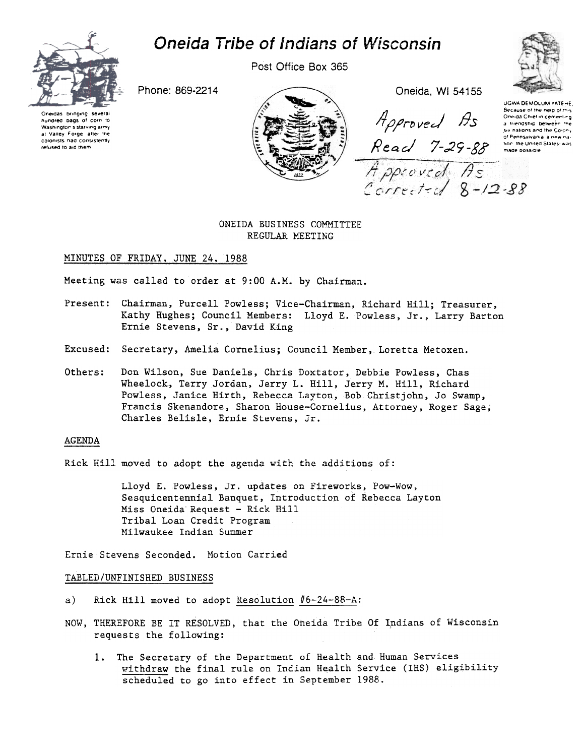

# Oneida Tribe of Indians of Wisconsin

Post Office Box 365



Oneidas bringing sev hundred bags of corn to Washington's starving army at Valley Forge after the colonists had consistently refused to aid them



Approved As Keac of Pennsylvania a new nat<br>7-29 - 88 made possible

UGWA DEMOLUM YATE-HE Because of the heip of this One da Chief in cementing a triendship between the six nations and the Colony<br>of Pennsylvania, a new na-

# ONEIDA BUSINESS COMMITTEE REGULAR MEETING

# MINUTES OF FRIDAY, JUNE 24, 1988

Meeting was called to order at 9:00 A.M. by Chairman.

- Present: Chairman, Purcell Powless; Vice-Chairman, Richard Hill; Treasurer, Kathy Hughes; Council Members: Lloyd E. Powless, Jr., Larry Barton Ernie Stevens, Sr., David King
- Excused: Secretary, Amelia Cornelius; Council Member, Loretta Metoxen.
- Others: Don Wilson. Sue Daniels. Chris Doxtator. Debbie Powless. Chas Wheelock, Terry Jordan. Jerry L. Hill, Jerry M. Hill, Richard Powless, Janice Hirth, Rebecca Layton, Bob Christ john, Jo Swamp, Francis Skenandore, Sharon House-Cornelius, Attorney, Roger Sage; Charles Belisle, Ernie Stevens, Jr.

# AGENDA

Rick Hill moved to adopt the agenda with the additions of:

Lloyd E. Powless, Jr. updates on Fireworks, Pow-Wow, Sesquicentennial Banquet, Introduction of Rebecca Layton Miss Oneida Request - Rick Hill Tribal Loan Credit Program Milwaukee Indian Summer

Ernie Stevens Seconded. Motion Carried

#### TABLED/UNFINISHED BUSINESS

- a) Rick Hill moved to adopt Resolution  $#6-24-88-A$ :
- NOW, THEREFORE BE IT RESOLVED, that the Oneida Tribe Of Indians of Wisconsin requests the following:
	- 1. The Secretary of the Department of Health and Human Service withdraw the final rule on Indian Health Service (IHS) eligibility scheduled to go into effect in September 1988.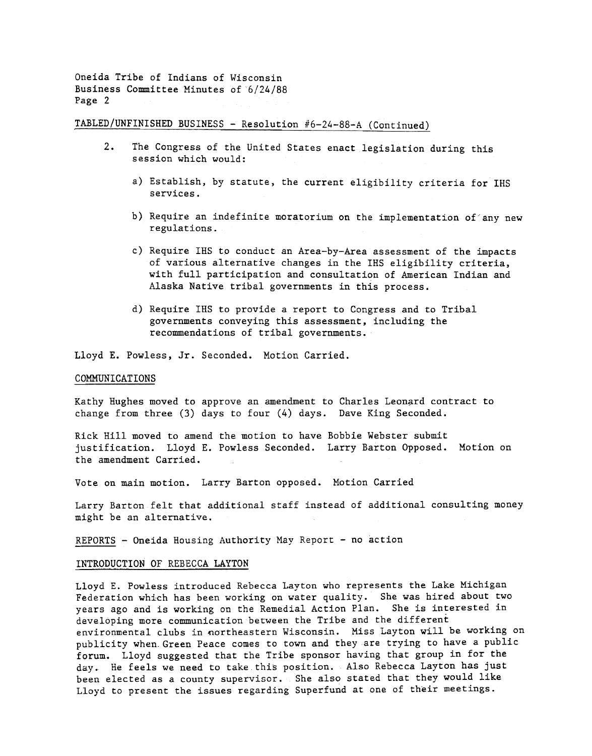# TABLED/UNFINISHED BUSINESS - Resolution  $#6-24-88-A$  (Continued)

- 2. The Congress of the United States enact legislation during this session which would:
	- a) Establish, by statute, the current eligibility criteria for IRS services.
	- b) Require an indefinite moratorium on the implementation of any new regulations.
	- c) Require IHS to conduct an Area-by-Area assessment of the impacts of various alternative changes in the IHS eligibility criteria, with full participation and consultation of American Indian and Alaska Native tribal governments in this process.
	- d) Require IRS to provide a report to Congress and to Tribal governments conveying this assessment, including the recommendations of tribal governments.

Lloyd E. Powless, Jr. Seconded. Motion Carried.

#### COMMUNICATIONS

Kathy Hughes moved to approve an amendment to Charles Leonard contract to change from three (3) days to four (4) days. Dave King Seconded.

Rick Hill moved to amend the motion to have Bobbie Webster submit justification. Lloyd E. Powless Seconded. Larry Barton Opposed. Motion on the amendment Carried.

Vote on main motion. Larry Barton opposed. Motion Carried

Larry Barton felt that additional staff instead of additional consulting money might be an alternative.

REPORTS - Oneida Housing Authority May Report - no action

## INTRODUCTION OF REBECCA LAYTON

Lloyd E. Powless introduced Rebecca Layton who represents the Lake Michigan Federation which has been working on water quality. She was hired about two years ago and is working on the Remedial Action Plan. She is interested in developing more communication between the Tribe and the different environmental clubs in northeastern Wisconsin. Miss Layton will be working on publicity when. Green Peace comes to town and they are trying to have a public forum. Lloyd suggested that the Tribe sponsor having that group in for the day. He feels we need to take this position. Also Rebecca Layton has just been elected as a county supervisor. She also stated that they would like Lloyd to present the issues regarding Superfund at one of their meetings.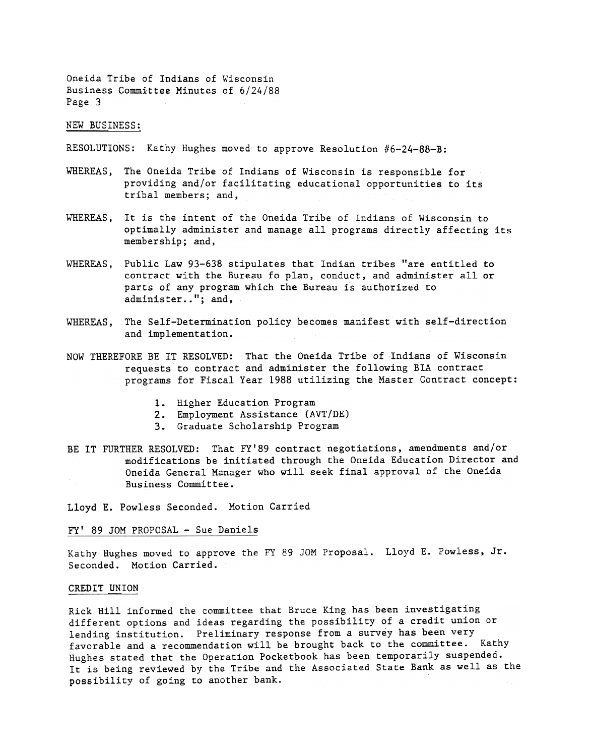NEW BUSINESS:

RESOLUTIONS: Kathy Hughes moved to approve Resolution  $#6-24-88-8$ :

- WHEREAS, The Oneida Tribe of Indians of Wisconsin is responsible for providing and/or facilitating educational opportunities to its tribal members; and,
- WHEREAS, It is the intent of the Oneida Tribe of Indians of Wisconsin to optimally administer and manage all programs directly affecting its membership; and,
- WHEREAS, Public Law 93-638 stipulates that Indian tribes "are entitled to contract with the Bureau fo plan, conduct, and administer all or parts of any program which the Bureau is authorized to administer.."; and,
- WHEREAS, The Self-Determination policy becomes manifest with self-direction and implementation.
- NOW THEREFORE BE IT RESOLVED: That the Oneida Tribe of Indians of Wisconsin requests to contract and administer the following BIA contract programs for Fiscal Year 1988 utilizing the Master Contract concept:
	- 1. Higher Education Program
	- Employment Assistance (AVT/DE)
	- 3. Graduate Scholarship Program
- BE IT FURTHER RESOLVED: That FY'89 contract negotiations, amendments and/or modifications be initiated through the Oneida Education Director and Oneida General Manager who will seek final approval of the Oneida Business Committee.

Lloyd E. Powless Seconded. Motion Carried

FY' 89 JOM PROPOSAL - Sue Daniels

Kathy Hughes moved to approve the FY 89 JOM Proposal. Lloyd E. Powless, Jr. Seconded. Motion Carried.

#### CREDIT UNION

Rick Hill informed the committee that Bruce King has been investigating different options and ideas regarding the possibility of a credit union or lending institution. Preliminary response from a survey has been very favorable and a recommendation will be brought back to the committee. Kathy Hughes stated that the Operation Pocketbook has been temporarily suspended. It is being reviewed by the Tribe and the Associated State Bank as well as the possibility of going to another bank.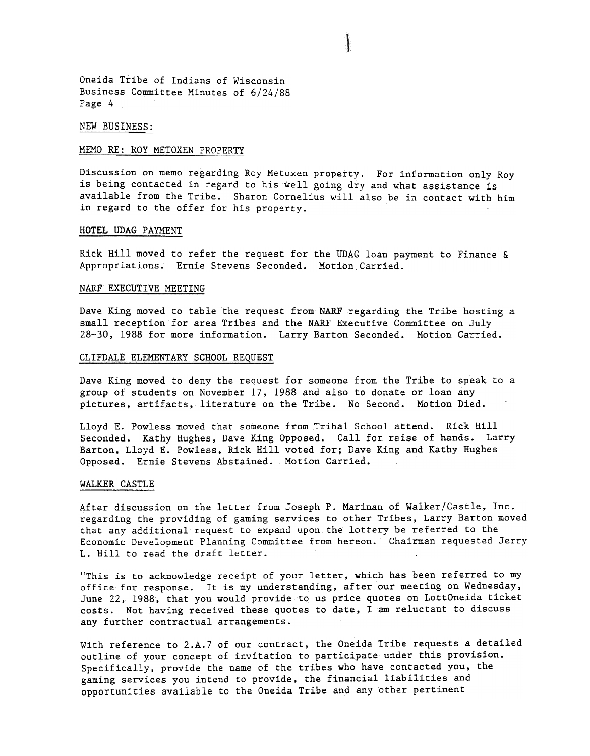#### NEW BUSINESS:

## MEMO RE: ROY METOXEN PROPERTY

Discussion on memo regarding Roy Metoxen property. For information only Roy is being contacted in regard to his well going dry and what assistance is available from the Tribe. Sharon Cornelius will also be in contact with him in regard to the offer for his property.

## HOTEL UDAG PAYMENT

Rick Hill moved to refer the request for the UDAG loan payment to Finance  $\&$ Appropriations. Ernie Stevens Seconded. Motion Carried.

# NARF EXECUTIVE MEETING

Dave King moved to table the request from NARF regarding the Tribe hosting a small reception for area Tribes and the NARF Executive Committee on July 28-30, 1988 for more information. Larry Barton Seconded. Motion Carried.

## CLIFDALE ELEMENTARY SCHOOL REQUEST

Dave King moved to deny the request for someone from the Tribe to speak to a group of students on November 17, 1988 and also to donate or loan any pictures, artifacts, literature on the Tribe. No Second. Motion Died.

Lloyd E. Powless moved that someone from Tribal School attend. Rick Hill Seconded. Kathy Hughes, Dave King Opposed. Call for raise of hands. Larry Barton, Lloyd E. Powless, Rick Hill voted for; Dave King and Kathy Hughes Opposed. Ernie Stevens Abstained. Motion Carried.

## WALKER CASTLE

After discussion on the letter from Joseph P. Marinan of Walker/Castle, Inc. regarding the providing of gaming services to other Tribes, Larry Barton moved that any additional request to expand upon the lottery be referred to the Economic Development Planning Committee from hereon. Chairman requested Jerry L. Hill to read the draft letter.

"This is to acknowledge receipt of your letter, which has been referred to my office for response. It is my understanding, after our meeting on Wednesday, June 22, 1988, that you would provide to us price quotes on LottOneida ticket costs. Not having received these quotes to date, I am reluctant to discuss any further contractual arrangements.

With reference to 2.A.7 of our contract, the Oneida Tribe requests a detailed outline of your concept of invitation to participate under this provision. Specifically, provide the name of the tribes who have contacted you, the gaming services you intend to provide, the financial liabilities and opportunities available to the Oneida Tribe and any other pertinent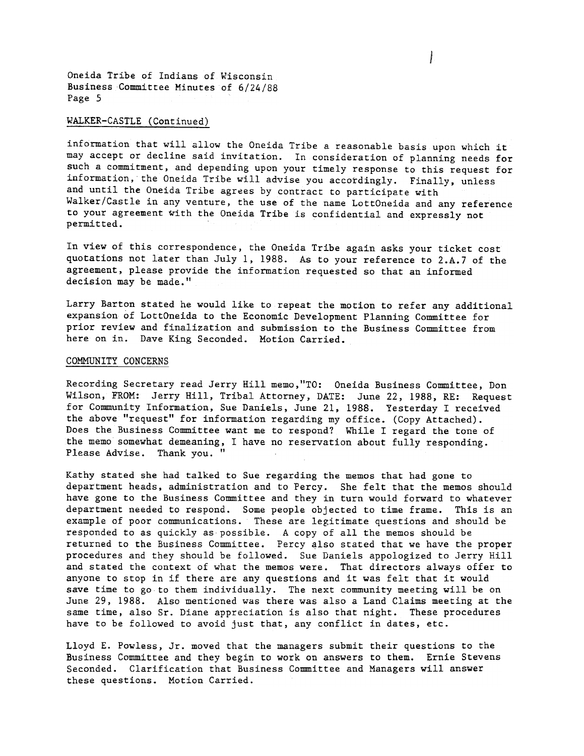## WALKER-CASTLE (Continued)

information that will allow the Oneida Tribe a reasonable basis upon which it may accept or decline said invitation. In consideration of planning needs for such a commitment, and depending upon your timely response to this request for information, the Oneida Tribe will advise you accordingly. Finally, unless and until the Oneida Tribe agrees by contract to participate with Walker/Castle in any venture, the use of the name LottOneida and any reference to your agreement with the Oneida Tribe is confidential and expressly not permitted.

In view of this correspondence, the Oneida Tribe again asks your ticket cost quotations not later than July 1, 1988. As to your reference to 2.A.7 of the agreement, please provide the information requested so that an informed decision may be made."

Larry Barton stated he would like to repeat the motion to refer any additional expansion of LottOneida to the Economic Development Planning Committee for prior review and finalization and submission to the Business Committee from here on in. Dave King Seconded. Motion Carried.

#### COMMUNITY CONCERNS

Recording Secretary read Jerry Hill memo,"TO: Oneida Business Committee, Don Wilson, FROM: Jerry Hill, Tribal Attorney, DATE: June 22, 1988, RE: Request for Community Information, Sue Daniels, June 21, 1988. Yesterday I received the above "request" for information regarding my office. (Copy Attached). Does the Business Committee want me to respond? While I regard the tone of the memo somewhat demeaning, I have no reservation about fully responding. Please Advise. Thank you.

Kathy stated she had talked to Sue regarding the memos that had gone to department heads, administration and to Percy. She felt that the memos should have gone to the Business Committee and they in turn would forward to whatever department needed to respond. Some people objected to time frame. This is an example of poor communications. These are legitimate questions and should be responded to as quickly as possible. A copy of all the memos should be returned to the Business Committee. Percy also stated that we have the proper procedures and they should be followed. Sue Daniels appologized to Jerry Hill and stated the context of what the memos were. That directors always offer to anyone to stop in if there are any questions and it was felt that it would save time to go to them individually. The next community meeting will be on June 29, 1988. Also mentioned was there was also a Land Claims meeting at the same time, also Sr. Diane appreciation is also that night. These procedures have to be followed to avoid just that, any conflict in dates, etc.

Lloyd E. Powless, Jr. moved that the managers submit their questions to the Business Committee and they begin to work on answers to them. Ernie Stevens Seconded. Clarification that Business Committee and Managers will answer these questions. Motion Carried.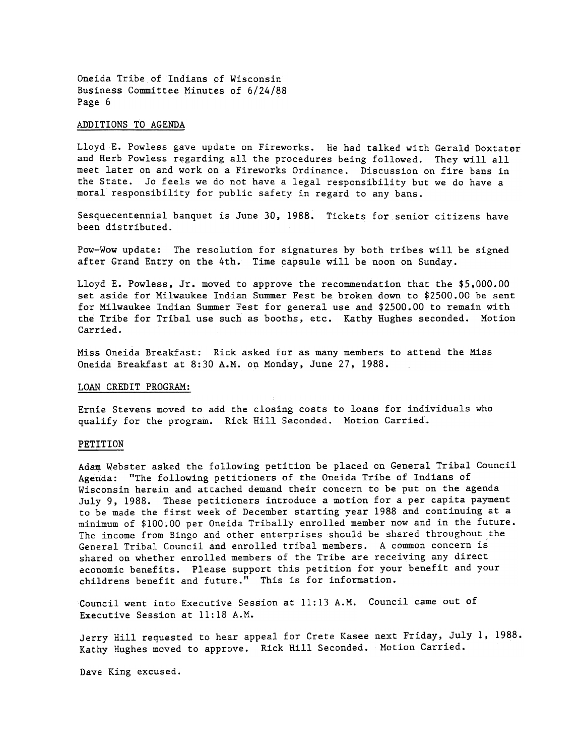## ADDITIONS TO AGENDA

Lloyd E. Powless gave update on Fireworks. He had talked with Gerald Doxtator and Herb Powless regarding all the procedures being followed. They will all meet later on and work on a Fireworks Ordinance. Discussion on fire bans in the State. Jo feels we do not have a legal responsibility but we do have a moral responsibility for public safety in regard to any bans.

Sesquecentennial banquet is June 30, 1988. Tickets for senior citizens have been distributed.

Pow-Wow update: The resolution for signatures by both tribes will be signed after Grand Entry on the 4th. Time capsule will be noon on Sunday.

Lloyd E. Powless, Jr. moved to approve the recommendation that the \$5,000.00 set aside for Milwaukee Indian Summer Fest be broken down to \$2500.00 be sent for Milwaukee Indian Summer Fest for general use and \$2500.00 to remain with the Tribe for Tribal use such as booths, etc. Kathy Hughes seconded. Motion Carried.

Miss Oneida Breakfast: Rick asked for as many members to attend the Miss Oneida Breakfast at 8:30 A.M. on Monday, June 27, 1988.

## LOAN CREDIT PROGRAM:

Ernie Stevens moved to add the closing costs to loans for individuals who qualify for the program. Rick Hili Seconded. Motion Carried.

#### PETITION

Adam Webster asked the following petition be placed on General Tribal Council Agenda: "The following petitioners of the Oneida Tribe of Indians of Wisconsin herein and attached demand their concern to be put on the agenda July 9. 1988. These petitioners introduce a motion for a per capita payment to be made the first week of December starting year 1988 and continuing at a minimum of \$100.00 per Oneida Tribally enrolled member now and in the future. The income from Bingo and other enterprises should be shared throughout the General Tribal Council and enrolled tribal members. A common concern is shared on whether enrolled members of the Tribe are receiving any direct economic benefits. Please support this petition for your benefit and your childrens benefit and future." This is for information.

Council went into Executive Session at 11:13 A.M. Council came out of Executive Session at 11:18 A.M.

Jerry Hill requested to hear appeal for Crete Kasee next Friday, July 1, 1988. Kathy Hughes moved to approve. Rick Hill Seconded. Motion Carried.

Dave King excused.